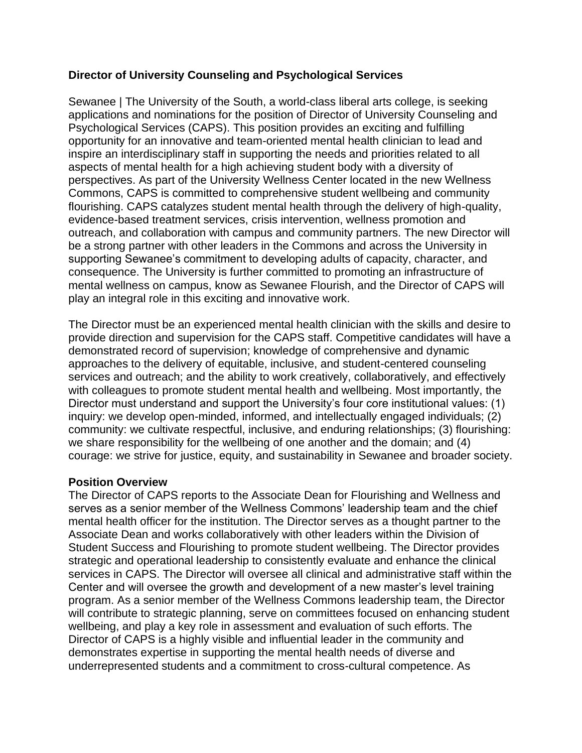## **Director of University Counseling and Psychological Services**

Sewanee | The University of the South, a world-class liberal arts college, is seeking applications and nominations for the position of Director of University Counseling and Psychological Services (CAPS). This position provides an exciting and fulfilling opportunity for an innovative and team-oriented mental health clinician to lead and inspire an interdisciplinary staff in supporting the needs and priorities related to all aspects of mental health for a high achieving student body with a diversity of perspectives. As part of the University Wellness Center located in the new Wellness Commons, CAPS is committed to comprehensive student wellbeing and community flourishing. CAPS catalyzes student mental health through the delivery of high-quality, evidence-based treatment services, crisis intervention, wellness promotion and outreach, and collaboration with campus and community partners. The new Director will be a strong partner with other leaders in the Commons and across the University in supporting Sewanee's commitment to developing adults of capacity, character, and consequence. The University is further committed to promoting an infrastructure of mental wellness on campus, know as Sewanee Flourish, and the Director of CAPS will play an integral role in this exciting and innovative work.

The Director must be an experienced mental health clinician with the skills and desire to provide direction and supervision for the CAPS staff. Competitive candidates will have a demonstrated record of supervision; knowledge of comprehensive and dynamic approaches to the delivery of equitable, inclusive, and student-centered counseling services and outreach; and the ability to work creatively, collaboratively, and effectively with colleagues to promote student mental health and wellbeing. Most importantly, the Director must understand and support the University's four core institutional values: (1) inquiry: we develop open-minded, informed, and intellectually engaged individuals; (2) community: we cultivate respectful, inclusive, and enduring relationships; (3) flourishing: we share responsibility for the wellbeing of one another and the domain; and (4) courage: we strive for justice, equity, and sustainability in Sewanee and broader society.

## **Position Overview**

The Director of CAPS reports to the Associate Dean for Flourishing and Wellness and serves as a senior member of the Wellness Commons' leadership team and the chief mental health officer for the institution. The Director serves as a thought partner to the Associate Dean and works collaboratively with other leaders within the Division of Student Success and Flourishing to promote student wellbeing. The Director provides strategic and operational leadership to consistently evaluate and enhance the clinical services in CAPS. The Director will oversee all clinical and administrative staff within the Center and will oversee the growth and development of a new master's level training program. As a senior member of the Wellness Commons leadership team, the Director will contribute to strategic planning, serve on committees focused on enhancing student wellbeing, and play a key role in assessment and evaluation of such efforts. The Director of CAPS is a highly visible and influential leader in the community and demonstrates expertise in supporting the mental health needs of diverse and underrepresented students and a commitment to cross-cultural competence. As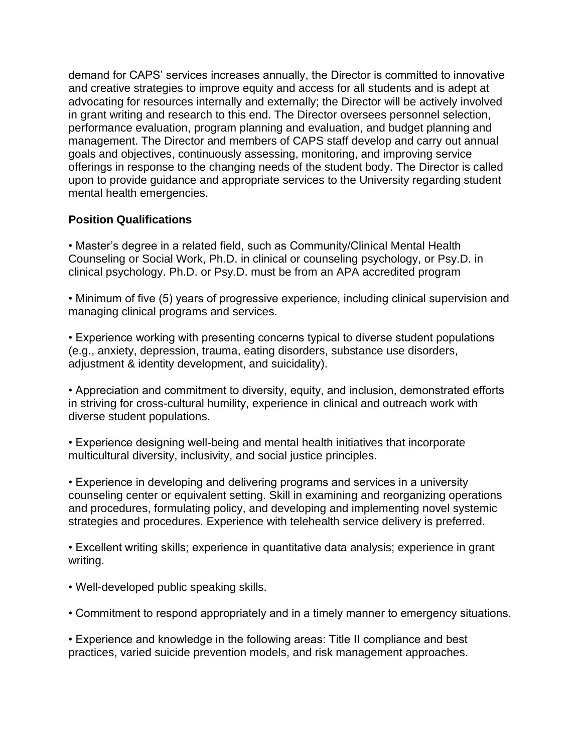demand for CAPS' services increases annually, the Director is committed to innovative and creative strategies to improve equity and access for all students and is adept at advocating for resources internally and externally; the Director will be actively involved in grant writing and research to this end. The Director oversees personnel selection, performance evaluation, program planning and evaluation, and budget planning and management. The Director and members of CAPS staff develop and carry out annual goals and objectives, continuously assessing, monitoring, and improving service offerings in response to the changing needs of the student body. The Director is called upon to provide guidance and appropriate services to the University regarding student mental health emergencies.

## **Position Qualifications**

• Master's degree in a related field, such as Community/Clinical Mental Health Counseling or Social Work, Ph.D. in clinical or counseling psychology, or Psy.D. in clinical psychology. Ph.D. or Psy.D. must be from an APA accredited program

• Minimum of five (5) years of progressive experience, including clinical supervision and managing clinical programs and services.

• Experience working with presenting concerns typical to diverse student populations (e.g., anxiety, depression, trauma, eating disorders, substance use disorders, adjustment & identity development, and suicidality).

• Appreciation and commitment to diversity, equity, and inclusion, demonstrated efforts in striving for cross-cultural humility, experience in clinical and outreach work with diverse student populations.

• Experience designing well-being and mental health initiatives that incorporate multicultural diversity, inclusivity, and social justice principles.

• Experience in developing and delivering programs and services in a university counseling center or equivalent setting. Skill in examining and reorganizing operations and procedures, formulating policy, and developing and implementing novel systemic strategies and procedures. Experience with telehealth service delivery is preferred.

• Excellent writing skills; experience in quantitative data analysis; experience in grant writing.

- Well-developed public speaking skills.
- Commitment to respond appropriately and in a timely manner to emergency situations.

• Experience and knowledge in the following areas: Title II compliance and best practices, varied suicide prevention models, and risk management approaches.